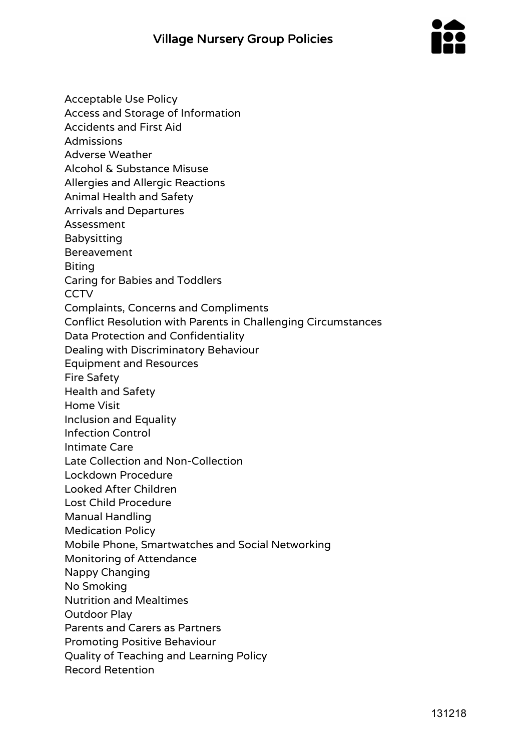

Acceptable Use Policy Access and Storage of Information Accidents and First Aid Admissions Adverse Weather Alcohol & Substance Misuse Allergies and Allergic Reactions Animal Health and Safety Arrivals and Departures Assessment Babysitting Bereavement Biting Caring for Babies and Toddlers **CCTV** Complaints, Concerns and Compliments Conflict Resolution with Parents in Challenging Circumstances Data Protection and Confidentiality Dealing with Discriminatory Behaviour Equipment and Resources Fire Safety Health and Safety Home Visit Inclusion and Equality Infection Control Intimate Care Late Collection and Non-Collection Lockdown Procedure Looked After Children Lost Child Procedure Manual Handling Medication Policy Mobile Phone, Smartwatches and Social Networking Monitoring of Attendance Nappy Changing No Smoking Nutrition and Mealtimes Outdoor Play Parents and Carers as Partners Promoting Positive Behaviour Quality of Teaching and Learning Policy Record Retention